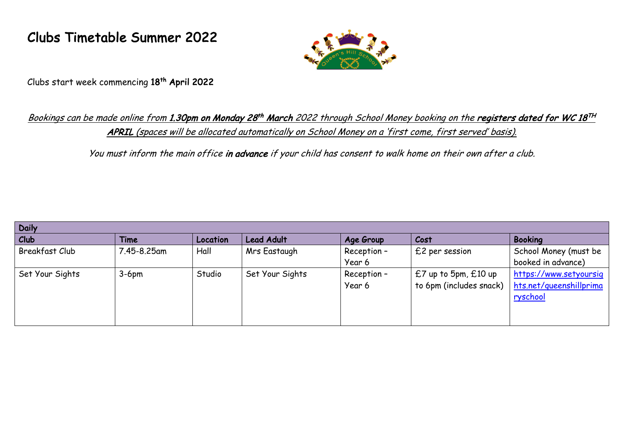## Clubs Timetable Summer 2022



Clubs start week commencing 18th April 2022

## Bookings can be made online from 1.30pm on Monday 28<sup>th</sup> March 2022 through School Money booking on the registers dated for WC 18<sup>TH</sup> APRIL (spaces will be allocated automatically on School Money on a 'first come, first served' basis).

You must inform the main office in advance if your child has consent to walk home on their own after a club.

| <b>Daily</b>          |             |          |                   |             |                          |                         |  |  |  |  |
|-----------------------|-------------|----------|-------------------|-------------|--------------------------|-------------------------|--|--|--|--|
| Club                  | Time        | Location | <b>Lead Adult</b> | Age Group   | Cost                     | <b>Booking</b>          |  |  |  |  |
| <b>Breakfast Club</b> | 7.45-8.25am | Hall     | Mrs Eastaugh      | Reception-  | £2 per session           | School Money (must be   |  |  |  |  |
|                       |             |          |                   | Year 6      |                          | booked in advance)      |  |  |  |  |
| Set Your Sights       | $3-6pm$     | Studio   | Set Your Sights   | Reception - | $£7$ up to 5pm, $£10$ up | https://www.setyoursig  |  |  |  |  |
|                       |             |          |                   | Year 6      | to 6pm (includes snack)  | hts.net/queenshillprima |  |  |  |  |
|                       |             |          |                   |             |                          | ryschool                |  |  |  |  |
|                       |             |          |                   |             |                          |                         |  |  |  |  |
|                       |             |          |                   |             |                          |                         |  |  |  |  |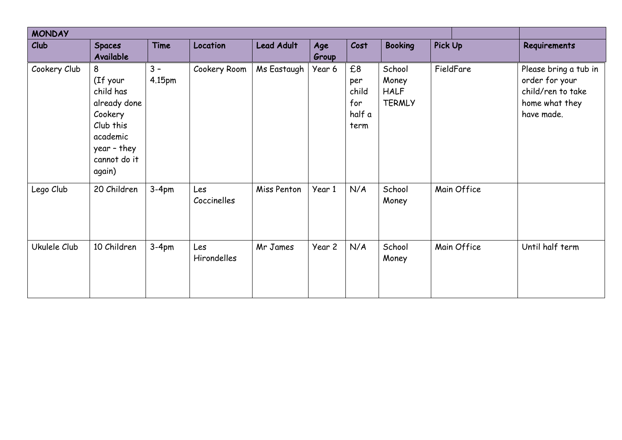| <b>MONDAY</b> |                                                                                                                         |                 |                    |                   |              |                                             |                                                 |                |             |                                                                                              |
|---------------|-------------------------------------------------------------------------------------------------------------------------|-----------------|--------------------|-------------------|--------------|---------------------------------------------|-------------------------------------------------|----------------|-------------|----------------------------------------------------------------------------------------------|
| Club          | <b>Spaces</b><br>Available                                                                                              | Time            | Location           | <b>Lead Adult</b> | Age<br>Group | Cost                                        | <b>Booking</b>                                  | <b>Pick Up</b> |             | Requirements                                                                                 |
| Cookery Club  | 8<br>(If your<br>child has<br>already done<br>Cookery<br>Club this<br>academic<br>year - they<br>cannot do it<br>again) | $3 -$<br>4.15pm | Cookery Room       | Ms Eastaugh       | Year 6       | £8<br>per<br>child<br>for<br>half a<br>term | School<br>Money<br><b>HALF</b><br><b>TERMLY</b> |                | FieldFare   | Please bring a tub in<br>order for your<br>child/ren to take<br>home what they<br>have made. |
| Lego Club     | 20 Children                                                                                                             | $3-4pm$         | Les<br>Coccinelles | Miss Penton       | Year 1       | N/A                                         | School<br>Money                                 |                | Main Office |                                                                                              |
| Ukulele Club  | 10 Children                                                                                                             | $3-4pm$         | Les<br>Hirondelles | Mr James          | Year 2       | N/A                                         | School<br>Money                                 |                | Main Office | Until half term                                                                              |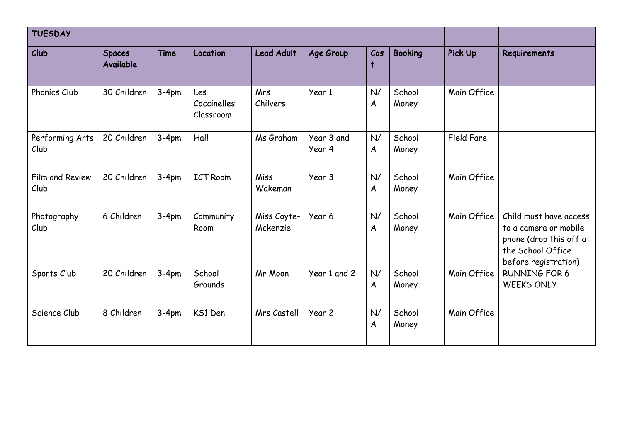| <b>TUESDAY</b>          |                            |             |                                 |                         |                      |                        |                 |                |                                                                                                                         |
|-------------------------|----------------------------|-------------|---------------------------------|-------------------------|----------------------|------------------------|-----------------|----------------|-------------------------------------------------------------------------------------------------------------------------|
| Club                    | <b>Spaces</b><br>Available | <b>Time</b> | Location                        | <b>Lead Adult</b>       | Age Group            | Cos<br>$\ddagger$      | <b>Booking</b>  | <b>Pick Up</b> | Requirements                                                                                                            |
| Phonics Club            | 30 Children                | $3-4pm$     | Les<br>Coccinelles<br>Classroom | Mrs<br>Chilvers         | Year 1               | N/<br>A                | School<br>Money | Main Office    |                                                                                                                         |
| Performing Arts<br>Club | 20 Children                | $3-4pm$     | Hall                            | Ms Graham               | Year 3 and<br>Year 4 | N/<br>$\boldsymbol{A}$ | School<br>Money | Field Fare     |                                                                                                                         |
| Film and Review<br>Club | 20 Children                | $3-4pm$     | <b>ICT Room</b>                 | Miss<br>Wakeman         | Year 3               | N/<br>A                | School<br>Money | Main Office    |                                                                                                                         |
| Photography<br>Club     | 6 Children                 | $3-4pm$     | Community<br>Room               | Miss Coyte-<br>Mckenzie | Year 6               | N/<br>A                | School<br>Money | Main Office    | Child must have access<br>to a camera or mobile<br>phone (drop this off at<br>the School Office<br>before registration) |
| Sports Club             | 20 Children                | $3-4pm$     | School<br>Grounds               | Mr Moon                 | Year 1 and 2         | N/<br>A                | School<br>Money | Main Office    | <b>RUNNING FOR 6</b><br><b>WEEKS ONLY</b>                                                                               |
| Science Club            | 8 Children                 | $3-4pm$     | KS1 Den                         | Mrs Castell             | Year 2               | N/<br>A                | School<br>Money | Main Office    |                                                                                                                         |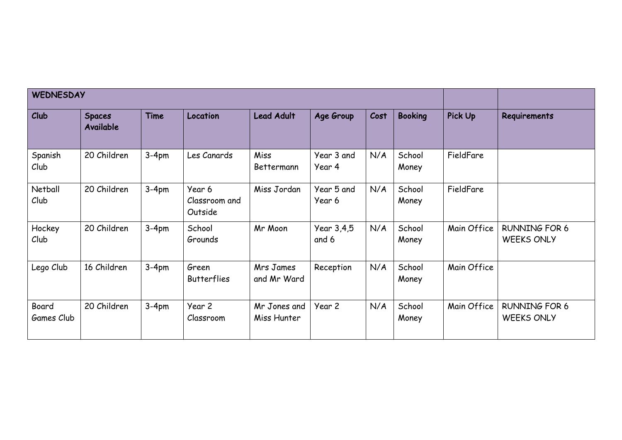| <b>WEDNESDAY</b>    |                                   |             |                                    |                             |                      |      |                 |             |                                           |
|---------------------|-----------------------------------|-------------|------------------------------------|-----------------------------|----------------------|------|-----------------|-------------|-------------------------------------------|
| $ $ Club            | <b>Spaces</b><br><b>Available</b> | <b>Time</b> | Location                           | <b>Lead Adult</b>           | Age Group            | Cost | <b>Booking</b>  | Pick Up     | Requirements                              |
| Spanish<br>Club     | 20 Children                       | $3-4pm$     | Les Canards                        | Miss<br>Bettermann          | Year 3 and<br>Year 4 | N/A  | School<br>Money | FieldFare   |                                           |
| Netball<br>Club     | 20 Children                       | $3-4pm$     | Year 6<br>Classroom and<br>Outside | Miss Jordan                 | Year 5 and<br>Year 6 | N/A  | School<br>Money | FieldFare   |                                           |
| Hockey<br>Club      | 20 Children                       | $3-4pm$     | School<br>Grounds                  | Mr Moon                     | Year 3,4,5<br>and 6  | N/A  | School<br>Money | Main Office | <b>RUNNING FOR 6</b><br><b>WEEKS ONLY</b> |
| Lego Club           | 16 Children                       | $3-4pm$     | Green<br><b>Butterflies</b>        | Mrs James<br>and Mr Ward    | Reception            | N/A  | School<br>Money | Main Office |                                           |
| Board<br>Games Club | 20 Children                       | $3-4pm$     | Year 2<br>Classroom                | Mr Jones and<br>Miss Hunter | Year 2               | N/A  | School<br>Money | Main Office | <b>RUNNING FOR 6</b><br><b>WEEKS ONLY</b> |